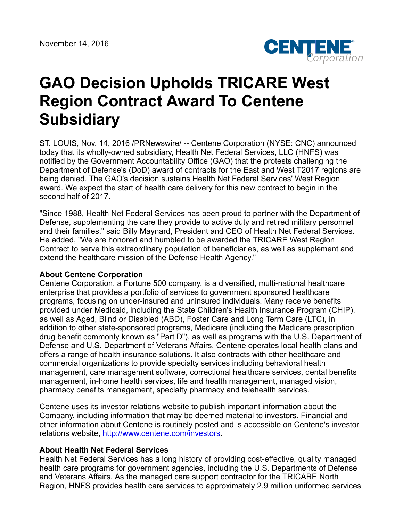

## **GAO Decision Upholds TRICARE West Region Contract Award To Centene Subsidiary**

ST. LOUIS, Nov. 14, 2016 /PRNewswire/ -- Centene Corporation (NYSE: CNC) announced today that its wholly-owned subsidiary, Health Net Federal Services, LLC (HNFS) was notified by the Government Accountability Office (GAO) that the protests challenging the Department of Defense's (DoD) award of contracts for the East and West T2017 regions are being denied. The GAO's decision sustains Health Net Federal Services' West Region award. We expect the start of health care delivery for this new contract to begin in the second half of 2017.

"Since 1988, Health Net Federal Services has been proud to partner with the Department of Defense, supplementing the care they provide to active duty and retired military personnel and their families," said Billy Maynard, President and CEO of Health Net Federal Services. He added, "We are honored and humbled to be awarded the TRICARE West Region Contract to serve this extraordinary population of beneficiaries, as well as supplement and extend the healthcare mission of the Defense Health Agency."

## **About Centene Corporation**

Centene Corporation, a Fortune 500 company, is a diversified, multi-national healthcare enterprise that provides a portfolio of services to government sponsored healthcare programs, focusing on under-insured and uninsured individuals. Many receive benefits provided under Medicaid, including the State Children's Health Insurance Program (CHIP), as well as Aged, Blind or Disabled (ABD), Foster Care and Long Term Care (LTC), in addition to other state-sponsored programs, Medicare (including the Medicare prescription drug benefit commonly known as "Part D"), as well as programs with the U.S. Department of Defense and U.S. Department of Veterans Affairs. Centene operates local health plans and offers a range of health insurance solutions. It also contracts with other healthcare and commercial organizations to provide specialty services including behavioral health management, care management software, correctional healthcare services, dental benefits management, in-home health services, life and health management, managed vision, pharmacy benefits management, specialty pharmacy and telehealth services.

Centene uses its investor relations website to publish important information about the Company, including information that may be deemed material to investors. Financial and other information about Centene is routinely posted and is accessible on Centene's investor relations website, <http://www.centene.com/investors>.

## **About Health Net Federal Services**

Health Net Federal Services has a long history of providing cost-effective, quality managed health care programs for government agencies, including the U.S. Departments of Defense and Veterans Affairs. As the managed care support contractor for the TRICARE North Region, HNFS provides health care services to approximately 2.9 million uniformed services